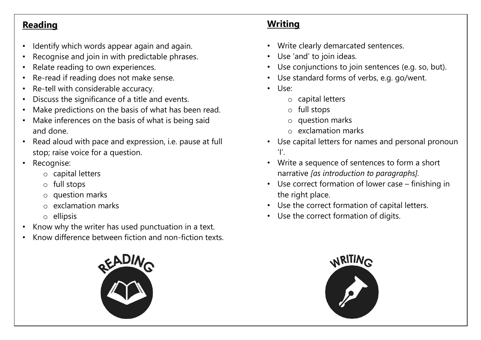## **Reading**

- Identify which words appear again and again.
- Recognise and join in with predictable phrases.
- Relate reading to own experiences.
- Re-read if reading does not make sense.
- Re-tell with considerable accuracy.
- Discuss the significance of a title and events.
- Make predictions on the basis of what has been read.
- Make inferences on the basis of what is being said and done.
- Read aloud with pace and expression, i.e. pause at full stop; raise voice for a question.
- Recognise:
	- o capital letters
	- o full stops
	- o question marks
	- o exclamation marks
	- o ellipsis
- Know why the writer has used punctuation in a text.
- Know difference between fiction and non-fiction texts.



## **Writing**

- Write clearly demarcated sentences.
- Use 'and' to join ideas.
- Use conjunctions to join sentences (e.g. so, but).
- Use standard forms of verbs, e.g. go/went.
- Use:
	- o capital letters
	- o full stops
	- o question marks
	- $\circ$  exclamation marks
- Use capital letters for names and personal pronoun  $^{\prime}$ I'.
- Write a sequence of sentences to form a short narrative *[as introduction to paragraphs].*
- Use correct formation of lower case finishing in the right place.
- Use the correct formation of capital letters.
- Use the correct formation of digits.